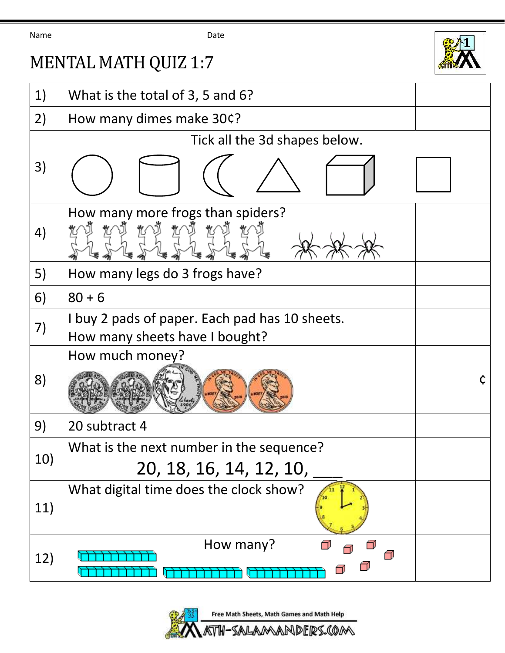Name Date

## MENTAL MATH QUIZ 1:7



| 1)  | What is the total of 3, 5 and 6?                                                 |   |
|-----|----------------------------------------------------------------------------------|---|
| 2)  | How many dimes make 30¢?                                                         |   |
|     | Tick all the 3d shapes below.                                                    |   |
| 3)  |                                                                                  |   |
| 4)  | How many more frogs than spiders?                                                |   |
| 5)  | How many legs do 3 frogs have?                                                   |   |
| 6)  | $80 + 6$                                                                         |   |
| 7)  | I buy 2 pads of paper. Each pad has 10 sheets.<br>How many sheets have I bought? |   |
|     | How much money?                                                                  |   |
| 8)  |                                                                                  | ¢ |
| 9)  | 20 subtract 4                                                                    |   |
| 10) | What is the next number in the sequence?<br>20, 18, 16, 14, 12, 10,              |   |
| 11) | What digital time does the clock show?                                           |   |
| 12) | How many?                                                                        |   |